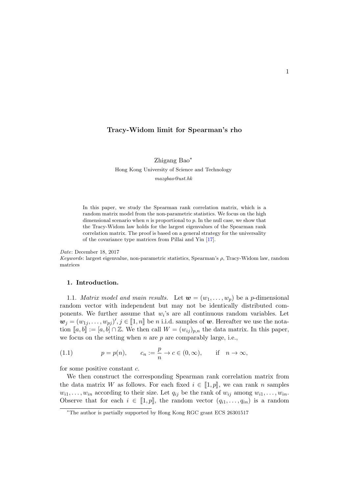# Tracy-Widom limit for Spearman's rho

Zhigang Bao<sup>∗</sup> Hong Kong University of Science and Technology mazgbao@ust.hk

In this paper, we study the Spearman rank correlation matrix, which is a random matrix model from the non-parametric statistics. We focus on the high dimensional scenario when  $n$  is proportional to  $p$ . In the null case, we show that the Tracy-Widom law holds for the largest eigenvalues of the Spearman rank correlation matrix. The proof is based on a general strategy for the universality of the covariance type matrices from Pillai and Yin [\[17\]](#page-20-0).

#### Date: December 18, 2017

Keywords: largest eigenvalue, non-parametric statistics, Spearman's ρ, Tracy-Widom law, random matrices

### 1. Introduction.

1.1. Matrix model and main results. Let  $\mathbf{w} = (w_1, \ldots, w_p)$  be a p-dimensional random vector with independent but may not be identically distributed components. We further assume that  $w_i$ 's are all continuous random variables. Let  $\mathbf{w}_j = (w_{1j}, \dots, w_{pj})', j \in [\![1, n]\!]$  be *n* i.i.d. samples of  $\mathbf{w}$ . Hereafter we use the nota-<br>tion  $[\![a, b]\!]$  in  $[a, b] \in \mathbb{Z}$ . We then soll  $W = (av)$ , the data matrix. In this paper tion  $\llbracket a, b \rrbracket := [a, b] \cap \mathbb{Z}$ . We then call  $W = (w_{ij})_{p,n}$  the data matrix. In this paper, we focus on the setting when  $n$  are  $p$  are comparably large, i.e.,

<span id="page-0-0"></span>(1.1) 
$$
p = p(n),
$$
  $c_n := \frac{p}{n} \to c \in (0, \infty),$  if  $n \to \infty$ ,

for some positive constant  $c$ .

We then construct the corresponding Spearman rank correlation matrix from the data matrix W as follows. For each fixed  $i \in [1, p]$ , we can rank n samples  $w_{i1}, \ldots, w_{in}$  according to their size. Let  $q_{ij}$  be the rank of  $w_{ij}$  among  $w_{i1}, \ldots, w_{in}$ . Observe that for each  $i \in [1, p]$ , the random vector  $(q_{i1}, \ldots, q_{in})$  is a random

<sup>∗</sup>The author is partially supported by Hong Kong RGC grant ECS 26301517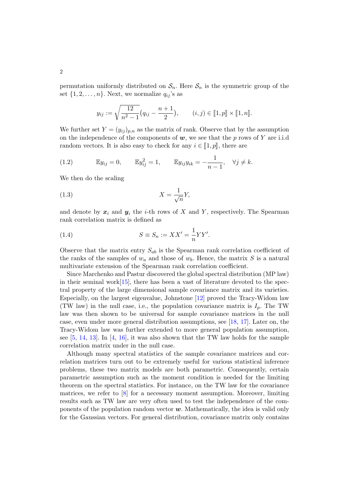permutation uniformly distributed on  $S_n$ . Here  $S_n$  is the symmetric group of the set  $\{1, 2, \ldots, n\}$ . Next, we normalize  $q_{ij}$ 's as

$$
y_{ij} := \sqrt{\frac{12}{n^2 - 1}} (q_{ij} - \frac{n+1}{2}), \qquad (i, j) \in [\![1, p]\!] \times [\![1, n]\!].
$$

We further set  $Y = (y_{ij})_{p,n}$  as the matrix of rank. Observe that by the assumption on the independence of the components of  $w$ , we see that the p rows of Y are i.i.d random vectors. It is also easy to check for any  $i \in [1, p]$ , there are

<span id="page-1-2"></span>(1.2) 
$$
\mathbb{E}y_{ij} = 0, \qquad \mathbb{E}y_{ij}^2 = 1, \qquad \mathbb{E}y_{ij}y_{ik} = -\frac{1}{n-1}, \quad \forall j \neq k.
$$

We then do the scaling

<span id="page-1-1"></span>
$$
(1.3)\t\t\t X = \frac{1}{\sqrt{n}}Y,
$$

and denote by  $x_i$  and  $y_i$  the *i*-th rows of X and Y, respectively. The Spearman rank correlation matrix is defined as

<span id="page-1-0"></span>(1.4) 
$$
S \equiv S_n := XX' = \frac{1}{n}YY'.
$$

Observe that the matrix entry  $S_{ab}$  is the Spearman rank correlation coefficient of the ranks of the samples of  $w_a$  and those of  $w_b$ . Hence, the matrix S is a natural multivariate extension of the Spearman rank correlation coefficient.

Since Marchenko and Pastur discovered the global spectral distribution (MP law) in their seminal work $[15]$ , there has been a vast of literature devoted to the spectral property of the large dimensional sample covariance matrix and its varieties. Especially, on the largest eigenvalue, Johnstone [\[12\]](#page-19-1) proved the Tracy-Widom law (TW law) in the null case, i.e., the population covariance matrix is  $I_p$ . The TW law was then shown to be universal for sample covariance matrices in the null case, even under more general distribution assumptions, see [\[18,](#page-20-1) [17\]](#page-20-0). Later on, the Tracy-Widom law was further extended to more general population assumption, see [\[5,](#page-19-2) [14,](#page-19-3) [13\]](#page-19-4). In [\[4,](#page-19-5) [16\]](#page-19-6), it was also shown that the TW law holds for the sample correlation matrix under in the null case.

Although many spectral statistics of the sample covariance matrices and correlation matrices turn out to be extremely useful for various statistical inference problems, these two matrix models are both parametric. Consequently, certain parametric assumption such as the moment condition is needed for the limiting theorem on the spectral statistics. For instance, on the TW law for the covariance matrices, we refer to [\[8\]](#page-19-7) for a necessary moment assumption. Moreover, limiting results such as TW law are very often used to test the independence of the components of the population random vector  $\boldsymbol{w}$ . Mathematically, the idea is valid only for the Gaussian vectors. For general distribution, covariance matrix only contains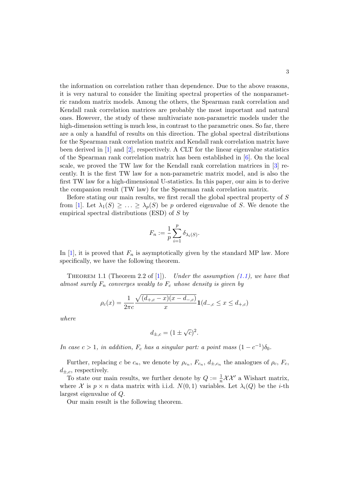the information on correlation rather than dependence. Due to the above reasons, it is very natural to consider the limiting spectral properties of the nonparametric random matrix models. Among the others, the Spearman rank correlation and Kendall rank correlation matrices are probably the most important and natural ones. However, the study of these multivariate non-parametric models under the high-dimension setting is much less, in contrast to the parametric ones. So far, there are a only a handful of results on this direction. The global spectral distributions for the Spearman rank correlation matrix and Kendall rank correlation matrix have been derived in  $[1]$  and  $[2]$ , respectively. A CLT for the linear eigenvalue statistics of the Spearman rank correlation matrix has been established in [\[6\]](#page-19-10). On the local scale, we proved the TW law for the Kendall rank correlation matrices in [\[3\]](#page-19-11) recently. It is the first TW law for a non-parametric matrix model, and is also the first TW law for a high-dimensional U-statistics. In this paper, our aim is to derive the companion result (TW law) for the Spearman rank correlation matrix.

Before stating our main results, we first recall the global spectral property of S from [\[1\]](#page-19-8). Let  $\lambda_1(S) \geq \ldots \geq \lambda_p(S)$  be p ordered eigenvalue of S. We denote the empirical spectral distributions (ESD) of S by

$$
F_n := \frac{1}{p} \sum_{i=1}^p \delta_{\lambda_i(S)}.
$$

In [\[1\]](#page-19-8), it is proved that  $F_n$  is asymptotically given by the standard MP law. More specifically, we have the following theorem.

<span id="page-2-0"></span>THEOREM 1.1 (Theorem 2.2 of [\[1\]](#page-19-8)). Under the assumption [\(1.1\)](#page-0-0), we have that almost surely  $F_n$  converges weakly to  $F_c$  whose density is given by

$$
\rho_c(x) = \frac{1}{2\pi c} \frac{\sqrt{(d_{+,c} - x)(x - d_{-,c})}}{x} \mathbf{1}(d_{-,c} \le x \le d_{+,c})
$$

where

$$
d_{\pm,c} = (1 \pm \sqrt{c})^2.
$$

In case  $c > 1$ , in addition,  $F_c$  has a singular part: a point mass  $(1 - c^{-1})\delta_0$ .

Further, replacing c be  $c_n$ , we denote by  $\rho_{c_n}$ ,  $F_{c_n}$ ,  $d_{\pm,c_n}$ , the analogues of  $\rho_c$ ,  $F_c$ ,  $d_{\pm,c}$ , respectively.

To state our main results, we further denote by  $Q := \frac{1}{n} \mathcal{X} \mathcal{X}'$  a Wishart matrix, where X is  $p \times n$  data matrix with i.i.d.  $N(0, 1)$  variables. Let  $\lambda_i(Q)$  be the *i*-th largest eigenvalue of Q.

Our main result is the following theorem.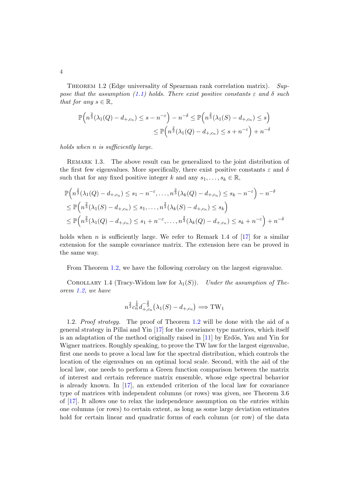<span id="page-3-0"></span>THEOREM 1.2 (Edge universality of Spearman rank correlation matrix). Sup-pose that the assumption [\(1.1\)](#page-0-0) holds. There exist positive constants  $\varepsilon$  and  $\delta$  such that for any  $s \in \mathbb{R}$ ,

$$
\mathbb{P}\left(n^{\frac{2}{3}}(\lambda_1(Q) - d_{+,c_n}) \leq s - n^{-\varepsilon}\right) - n^{-\delta} \leq \mathbb{P}\left(n^{\frac{2}{3}}(\lambda_1(S) - d_{+,c_n}) \leq s\right)
$$

$$
\leq \mathbb{P}\left(n^{\frac{2}{3}}(\lambda_1(Q) - d_{+,c_n}) \leq s + n^{-\varepsilon}\right) + n^{-\delta}
$$

holds when n is sufficiently large.

REMARK 1.3. The above result can be generalized to the joint distribution of the first few eigenvalues. More specifically, there exist positive constants  $\varepsilon$  and  $\delta$ such that for any fixed positive integer k and any  $s_1, \ldots, s_k \in \mathbb{R}$ ,

$$
\mathbb{P}\left(n^{\frac{2}{3}}(\lambda_{1}(Q) - d_{+,c_{n}}) \leq s_{1} - n^{-\varepsilon}, \ldots, n^{\frac{2}{3}}(\lambda_{k}(Q) - d_{+,c_{n}}) \leq s_{k} - n^{-\varepsilon}\right) - n^{-\delta}
$$
\n
$$
\leq \mathbb{P}\left(n^{\frac{2}{3}}(\lambda_{1}(S) - d_{+,c_{n}}) \leq s_{1}, \ldots, n^{\frac{2}{3}}(\lambda_{k}(S) - d_{+,c_{n}}) \leq s_{k}\right)
$$
\n
$$
\leq \mathbb{P}\left(n^{\frac{2}{3}}(\lambda_{1}(Q) - d_{+,c_{n}}) \leq s_{1} + n^{-\varepsilon}, \ldots, n^{\frac{2}{3}}(\lambda_{k}(Q) - d_{+,c_{n}}) \leq s_{k} + n^{-\varepsilon}\right) + n^{-\delta}
$$

holds when n is sufficiently large. We refer to Remark 1.4 of  $\left[17\right]$  for a similar extension for the sample covariance matrix. The extension here can be proved in the same way.

From Theorem [1.2,](#page-3-0) we have the following corrolary on the largest eigenvalue.

<span id="page-3-1"></span>COROLLARY 1.4 (Tracy-Widom law for  $\lambda_1(S)$ ). Under the assumption of Theorem [1.2,](#page-3-0) we have

$$
n^{\frac{2}{3}}c_n^{\frac{1}{6}}d_{+,c_n}^{-\frac{2}{3}}(\lambda_1(S) - d_{+,c_n}) \Longrightarrow \text{TW}_1
$$

1.2. Proof strategy. The proof of Theorem [1.2](#page-3-0) will be done with the aid of a general strategy in Pillai and Yin [\[17\]](#page-20-0) for the covariance type matrices, which itself is an adaptation of the method originally raised in  $[11]$  by Erdös, Yau and Yin for Wigner matrices. Roughly speaking, to prove the TW law for the largest eigenvalue, first one needs to prove a local law for the spectral distribution, which controls the location of the eigenvalues on an optimal local scale. Second, with the aid of the local law, one needs to perform a Green function comparison between the matrix of interest and certain reference matrix ensemble, whose edge spectral behavior is already known. In [\[17\]](#page-20-0), an extended criterion of the local law for covariance type of matrices with independent columns (or rows) was given, see Theorem 3.6 of [\[17\]](#page-20-0). It allows one to relax the independence assumption on the entries within one columns (or rows) to certain extent, as long as some large deviation estimates hold for certain linear and quadratic forms of each column (or row) of the data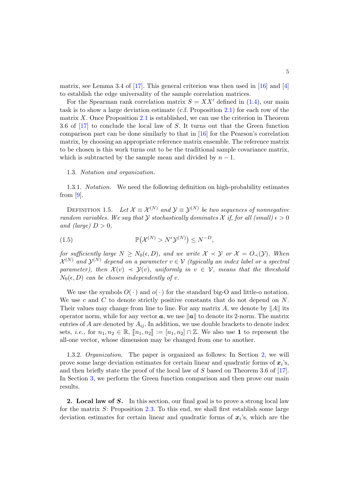matrix, see Lemma 3.4 of [\[17\]](#page-20-0). This general criterion was then used in [\[16\]](#page-19-6) and [\[4\]](#page-19-5) to establish the edge universality of the sample correlation matrices.

For the Spearman rank correlation matrix  $S = XX'$  defined in [\(1.4\)](#page-1-0), our main task is to show a large deviation estimate (c.f. Proposition [2.1\)](#page-5-0) for each row of the matrix X. Once Proposition [2.1](#page-5-0) is established, we can use the criterion in Theorem 3.6 of [\[17\]](#page-20-0) to conclude the local law of S. It turns out that the Green function comparison part can be done similarly to that in [\[16\]](#page-19-6) for the Pearson's correlation matrix, by choosing an appropriate reference matrix ensemble. The reference matrix to be chosen is this work turns out to be the traditional sample covariance matrix, which is subtracted by the sample mean and divided by  $n-1$ .

### 1.3. Notation and organization.

1.3.1. Notation. We need the following definition on high-probability estimates from [\[9\]](#page-19-13).

<span id="page-4-1"></span>DEFINITION 1.5. Let  $\mathcal{X} \equiv \mathcal{X}^{(N)}$  and  $\mathcal{Y} \equiv \mathcal{Y}^{(N)}$  be two sequences of nonnegative random variables. We say that Y stochastically dominates X if, for all (small)  $\epsilon > 0$ and (large)  $D > 0$ ,

P X (N) > NY (N) ≤ N <sup>−</sup><sup>D</sup> (1.5) ,

for sufficiently large  $N \geq N_0(\epsilon, D)$ , and we write  $\mathcal{X} \prec \mathcal{Y}$  or  $\mathcal{X} = O_{\prec}(\mathcal{Y})$ . When  $\mathcal{X}^{(N)}$  and  $\mathcal{Y}^{(N)}$  depend on a parameter  $v \in \mathcal{V}$  (typically an index label or a spectral parameter), then  $\mathcal{X}(v) \prec \mathcal{Y}(v)$ , uniformly in  $v \in \mathcal{V}$ , means that the threshold  $N_0(\epsilon, D)$  can be chosen independently of v.

We use the symbols  $O(\cdot)$  and  $o(\cdot)$  for the standard big-O and little-o notation. We use c and  $C$  to denote strictly positive constants that do not depend on  $N$ . Their values may change from line to line. For any matrix A, we denote by  $||A||$  its operator norm, while for any vector  $a$ , we use  $||a||$  to denote its 2-norm. The matrix entries of A are denoted by  $A_{ij}$ . In addition, we use double brackets to denote index sets, *i.e.*, for  $n_1, n_2 \in \mathbb{R}$ ,  $[n_1, n_2] := [n_1, n_2] \cap \mathbb{Z}$ . We also use 1 to represent the all-one vector, whose dimension may be changed from one to another.

1.3.2. Organization. The paper is organized as follows: In Section [2,](#page-4-0) we will prove some large deviation estimates for certain linear and quadratic forms of  $x_i$ 's, and then briefly state the proof of the local law of S based on Theorem 3.6 of [\[17\]](#page-20-0). In Section [3,](#page-14-0) we perform the Green function comparison and then prove our main results.

<span id="page-4-0"></span>2. Local law of S. In this section, our final goal is to prove a strong local law for the matrix S: Proposition [2.3.](#page-12-0) To this end, we shall first establish some large deviation estimates for certain linear and quadratic forms of  $x_i$ 's, which are the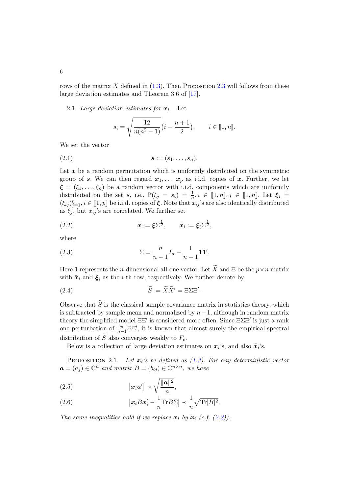rows of the matrix X defined in  $(1.3)$ . Then Proposition [2.3](#page-12-0) will follows from these large deviation estimates and Theorem 3.6 of [\[17\]](#page-20-0).

<span id="page-5-7"></span>2.1. Large deviation estimates for  $x_i$ . Let

$$
s_i = \sqrt{\frac{12}{n(n^2 - 1)}} \left( i - \frac{n+1}{2} \right), \qquad i \in [1, n].
$$

We set the vector

<span id="page-5-3"></span>
$$
s := (s_1, \ldots, s_n).
$$

Let  $x$  be a random permutation which is uniformly distributed on the symmetric group of s. We can then regard  $x_1, \ldots, x_p$  as i.i.d. copies of x. Further, we let  $\xi = (\xi_1, \ldots, \xi_n)$  be a random vector with i.i.d. components which are uniformly distributed on the set  $s, i.e., \mathbb{P}(\xi_j = s_i) = \frac{1}{n}, i \in [\![1,n]\!], j \in [\![1,n]\!].$  Let  $\xi_i = (f, n_i]$  is  $\in [\![1,n]\!]$  be i.i.d. some of  $f$ . Note that  $x_i$  is an also identically distributed  $(\xi_{ij})_{j=1}^n, i \in [1, p]$  be i.i.d. copies of  $\xi$ . Note that  $x_{ij}$ 's are also identically distributed<br>as  $\xi$  but  $x_i$  is are completed. We further act as  $\xi_j$ , but  $x_{ij}$ 's are correlated. We further set

<span id="page-5-1"></span>(2.2) 
$$
\tilde{\boldsymbol{x}} := \boldsymbol{\xi} \Sigma^{\frac{1}{2}}, \qquad \tilde{\boldsymbol{x}}_i := \boldsymbol{\xi}_i \Sigma^{\frac{1}{2}},
$$

where

<span id="page-5-6"></span>(2.3) 
$$
\Sigma = \frac{n}{n-1} I_n - \frac{1}{n-1} \mathbf{1} \mathbf{1}'.
$$

Here 1 represents the *n*-dimensional all-one vector. Let  $\widetilde{X}$  and  $\Xi$  be the  $p \times n$  matrix with  $\tilde{x}_i$  and  $\xi_i$  as the *i*-th row, respectively. We further denote by

<span id="page-5-5"></span>(2.4) 
$$
\widetilde{S} := \widetilde{X}\widetilde{X}' = \Xi\Sigma\Xi'.
$$

Observe that  $\tilde{S}$  is the classical sample covariance matrix in statistics theory, which is subtracted by sample mean and normalized by  $n-1$ , although in random matrix theory the simplified model  $\Xi \Xi'$  is considered more often. Since  $\Xi \Sigma \Xi'$  is just a rank one perturbation of  $\frac{n}{n-1} \Xi \Xi'$ , it is known that almost surely the empirical spectral distribution of  $\widetilde{S}$  also converges weakly to  $F_c$ .

Below is a collection of large deviation estimates on  $x_i$ 's, and also  $\tilde{x}_i$ 's.

<span id="page-5-0"></span>**PROPOSITION** 2.1. Let  $x_i$ 's be defined as [\(1.3\)](#page-1-1). For any deterministic vector  $a = (a_j) \in \mathbb{C}^n$  and matrix  $B = (b_{ij}) \in \mathbb{C}^{n \times n}$ , we have

<span id="page-5-2"></span>(2.5) 
$$
\left|\boldsymbol{x}_{i}\boldsymbol{a}'\right| \prec \sqrt{\frac{\|\boldsymbol{a}\|^{2}}{n}},
$$

<span id="page-5-4"></span>(2.6) 
$$
\left| \boldsymbol{x}_i B \boldsymbol{x}_i' - \frac{1}{n} \text{Tr} B \boldsymbol{\Sigma} \right| \prec \frac{1}{n} \sqrt{\text{Tr} |B|^2}.
$$

The same inequalities hold if we replace  $\mathbf{x}_i$  by  $\tilde{\mathbf{x}}_i$  (c.f. [\(2.2\)](#page-5-1)).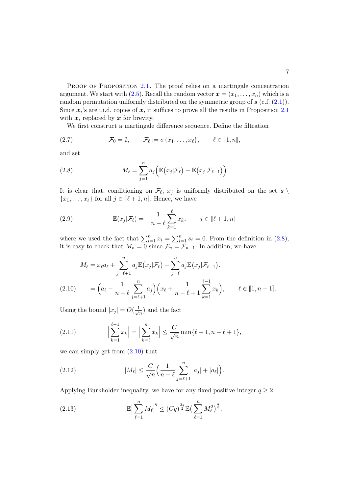PROOF OF PROPOSITION [2.1.](#page-5-0) The proof relies on a martingale concentration argument. We start with  $(2.5)$ . Recall the random vector  $\boldsymbol{x} = (x_1, \ldots, x_n)$  which is a random permutation uniformly distributed on the symmetric group of  $s$  (c.f.  $(2.1)$ ). Since  $x_i$ 's are i.i.d. copies of  $x$ , it suffices to prove all the results in Proposition [2.1](#page-5-0) with  $x_i$  replaced by x for brevity.

We first construct a martingale difference sequence. Define the filtration

<span id="page-6-4"></span>(2.7) 
$$
\mathcal{F}_0 = \emptyset, \qquad \mathcal{F}_\ell := \sigma\{x_1, \ldots, x_\ell\}, \qquad \ell \in [\![1, n]\!],
$$

and set

<span id="page-6-0"></span>(2.8) 
$$
M_{\ell} = \sum_{j=1}^{n} a_j \Big( \mathbb{E}(x_j | \mathcal{F}_{\ell}) - \mathbb{E}(x_j | \mathcal{F}_{\ell-1}) \Big)
$$

It is clear that, conditioning on  $\mathcal{F}_{\ell}$ ,  $x_j$  is uniformly distributed on the set  $s \setminus \mathcal{F}_{\ell}$  $\{x_1, \ldots, x_\ell\}$  for all  $j \in [\ell + 1, n]$ . Hence, we have

<span id="page-6-6"></span>(2.9) 
$$
\mathbb{E}(x_j|\mathcal{F}_\ell) = -\frac{1}{n-\ell} \sum_{k=1}^{\ell} x_k, \qquad j \in [\![\ell+1, n]\!]
$$

where we used the fact that  $\sum_{i=1}^{n} x_i = \sum_{i=1}^{n} s_i = 0$ . From the definition in [\(2.8\)](#page-6-0), it is easy to check that  $M_n = 0$  since  $\mathcal{F}_n = \mathcal{F}_{n-1}$ . In addition, we have

$$
M_{\ell} = x_{\ell} a_{\ell} + \sum_{j=\ell+1}^{n} a_{j} \mathbb{E}(x_{j} | \mathcal{F}_{\ell}) - \sum_{j=\ell}^{n} a_{j} \mathbb{E}(x_{j} | \mathcal{F}_{\ell-1}).
$$
  
(2.10) 
$$
= \left(a_{\ell} - \frac{1}{n-\ell} \sum_{j=\ell+1}^{n} a_{j}\right) \left(x_{\ell} + \frac{1}{n-\ell+1} \sum_{k=1}^{\ell-1} x_{k}\right), \qquad \ell \in [1, n-1].
$$

<span id="page-6-1"></span>Using the bound  $|x_j| = O(\frac{1}{\sqrt{k}})$  $\frac{1}{n}$  and the fact

<span id="page-6-5"></span>(2.11) 
$$
\left| \sum_{k=1}^{\ell-1} x_k \right| = \left| \sum_{k=\ell}^n x_k \right| \leq \frac{C}{\sqrt{n}} \min \{ \ell - 1, n - \ell + 1 \},
$$

we can simply get from  $(2.10)$  that

<span id="page-6-2"></span>(2.12) 
$$
|M_{\ell}| \leq \frac{C}{\sqrt{n}} \Big( \frac{1}{n-\ell} \sum_{j=\ell+1}^{n} |a_j| + |a_{\ell}| \Big).
$$

Applying Burkholder inequality, we have for any fixed positive integer  $q \geq 2$ 

<span id="page-6-3"></span>(2.13) 
$$
\mathbb{E}\Big|\sum_{\ell=1}^n M_\ell\Big|^q \leq (Cq)^{\frac{3q}{2}} \mathbb{E}\big(\sum_{\ell=1}^n M_\ell^2\big)^{\frac{q}{2}}.
$$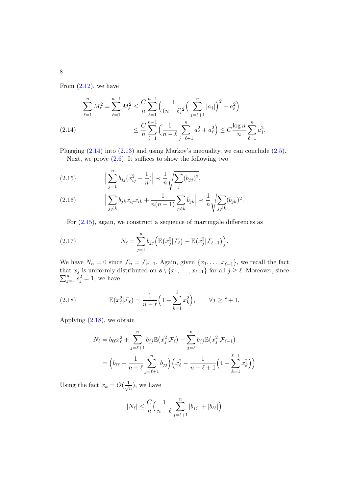From  $(2.12)$ , we have

<span id="page-7-0"></span>
$$
\sum_{\ell=1}^{n} M_{\ell}^{2} = \sum_{\ell=1}^{n-1} M_{\ell}^{2} \leq \frac{C}{n} \sum_{\ell=1}^{n-1} \left( \frac{1}{(n-\ell)^{2}} \left( \sum_{j=\ell+1}^{n} |a_{j}| \right)^{2} + a_{\ell}^{2} \right)
$$
\n
$$
\leq \frac{C}{n} \sum_{\ell=1}^{n-1} \left( \frac{1}{n-\ell} \sum_{j=\ell+1}^{n} a_{j}^{2} + a_{\ell}^{2} \right) \leq C \frac{\log n}{n} \sum_{\ell=1}^{n} a_{j}^{2}.
$$

Plugging [\(2.14\)](#page-7-0) into [\(2.13\)](#page-6-3) and using Markov's inequality, we can conclude [\(2.5\)](#page-5-2). Next, we prove  $(2.6)$ . It suffices to show the following two

<span id="page-7-1"></span>(2.15) 
$$
\left| \sum_{j=1}^{n} b_{jj} (x_{ij}^2 - \frac{1}{n}) \right| \prec \frac{1}{n} \sqrt{\sum_{j} (b_{jj})^2},
$$

<span id="page-7-3"></span>(2.16) 
$$
\left| \sum_{j \neq k} b_{jk} x_{ij} x_{ik} + \frac{1}{n(n-1)} \sum_{j \neq k} b_{jk} \right| \prec \frac{1}{n} \sqrt{\sum_{j \neq k} (b_{jk})^2}.
$$

For [\(2.15\)](#page-7-1), again, we construct a sequence of martingale differences as

(2.17) 
$$
N_{\ell} = \sum_{j=1}^{n} b_{jj} \Big( \mathbb{E} \big( x_j^2 | \mathcal{F}_{\ell} \big) - \mathbb{E} \big( x_j^2 | \mathcal{F}_{\ell-1} \big) \Big).
$$

We have  $N_n = 0$  since  $\mathcal{F}_n = \mathcal{F}_{n-1}$ . Again, given  $\{x_1, \ldots, x_{\ell-1}\}$ , we recall the fact that  $\sum$ at  $x_j$  is uniformly distributed on  $s \setminus \{x_1, \ldots, x_{\ell-1}\}$  for all  $j \geq \ell$ . Moreover, since  $\sum_{j=1}^n s_j^2 = 1$ , we have

<span id="page-7-2"></span>(2.18) 
$$
\mathbb{E}(x_j^2|\mathcal{F}_\ell) = \frac{1}{n-\ell}\Big(1-\sum_{k=1}^\ell x_k^2\Big), \qquad \forall j \ge \ell+1.
$$

Applying [\(2.18\)](#page-7-2), we obtain

$$
N_{\ell} = b_{\ell\ell} x_{\ell}^{2} + \sum_{j=\ell+1}^{n} b_{jj} \mathbb{E}(x_{j}^{2} | \mathcal{F}_{\ell}) - \sum_{j=\ell}^{n} b_{jj} \mathbb{E}(x_{j}^{2} | \mathcal{F}_{\ell-1}).
$$
  
= 
$$
\left(b_{\ell\ell} - \frac{1}{n-\ell} \sum_{j=\ell+1}^{n} b_{jj}\right) \left(x_{\ell}^{2} - \frac{1}{n-\ell+1} \left(1 - \sum_{k=1}^{\ell-1} x_{k}^{2}\right)\right)
$$

Using the fact  $x_k = O(\frac{1}{\sqrt{k}})$  $\frac{1}{n}$ , we have

$$
|N_{\ell}| \leq \frac{C}{n} \Big( \frac{1}{n-\ell} \sum_{j=\ell+1}^{n} |b_{jj}| + |b_{\ell\ell}| \Big)
$$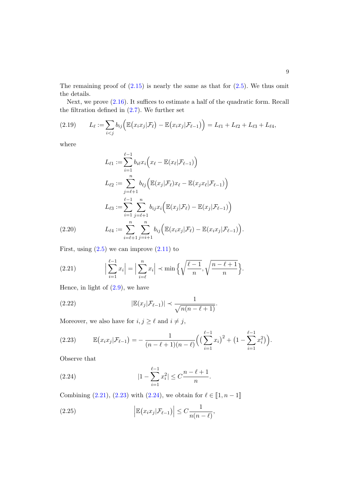The remaining proof of  $(2.15)$  is nearly the same as that for  $(2.5)$ . We thus omit the details.

Next, we prove  $(2.16)$ . It suffices to estimate a half of the quadratic form. Recall the filtration defined in  $(2.7)$ . We further set

(2.19) 
$$
L_{\ell} := \sum_{i < j} b_{ij} \Big( \mathbb{E} (x_i x_j | \mathcal{F}_{\ell}) - \mathbb{E} (x_i x_j | \mathcal{F}_{\ell-1}) \Big) = L_{\ell 1} + L_{\ell 2} + L_{\ell 3} + L_{\ell 4},
$$

where

$$
L_{\ell 1} := \sum_{i=1}^{\ell-1} b_{i\ell} x_i \Big( x_{\ell} - \mathbb{E}(x_{\ell} | \mathcal{F}_{\ell-1}) \Big)
$$
  
\n
$$
L_{\ell 2} := \sum_{j=\ell+1}^n b_{\ell j} \Big( \mathbb{E}(x_j | \mathcal{F}_{\ell}) x_{\ell} - \mathbb{E}(x_j x_{\ell} | \mathcal{F}_{\ell-1}) \Big)
$$
  
\n
$$
L_{\ell 3} := \sum_{i=1}^{\ell-1} \sum_{j=\ell+1}^n b_{ij} x_i \Big( \mathbb{E}(x_j | \mathcal{F}_{\ell}) - \mathbb{E}(x_j | \mathcal{F}_{\ell-1}) \Big)
$$
  
\n(2.20) 
$$
L_{\ell 4} := \sum_{i=\ell+1}^n \sum_{j=i+1}^n b_{ij} \Big( \mathbb{E}(x_i x_j | \mathcal{F}_{\ell}) - \mathbb{E}(x_i x_j | \mathcal{F}_{\ell-1}) \Big).
$$

<span id="page-8-5"></span>First, using  $(2.5)$  we can improve  $(2.11)$  to

<span id="page-8-0"></span>(2.21) 
$$
\Big|\sum_{i=1}^{\ell-1} x_i\Big| = \Big|\sum_{i=\ell}^n x_i\Big| \prec \min\Big\{\sqrt{\frac{\ell-1}{n}}, \sqrt{\frac{n-\ell+1}{n}}\Big\}.
$$

Hence, in light of  $(2.9)$ , we have

<span id="page-8-3"></span>(2.22) 
$$
|\mathbb{E}(x_j|\mathcal{F}_{\ell-1})| \prec \frac{1}{\sqrt{n(n-\ell+1)}}.
$$

Moreover, we also have for  $i, j \ge \ell$  and  $i \ne j,$ 

<span id="page-8-1"></span>
$$
(2.23) \qquad \mathbb{E}\big(x_i x_j | \mathcal{F}_{\ell-1}\big) = -\frac{1}{(n-\ell+1)(n-\ell)} \Big( \big(\sum_{i=1}^{\ell-1} x_i\big)^2 + \big(1 - \sum_{i=1}^{\ell-1} x_i^2\big)\Big).
$$

Observe that

<span id="page-8-2"></span>(2.24) 
$$
|1 - \sum_{i=1}^{\ell-1} x_i^2| \le C \frac{n - \ell + 1}{n}.
$$

Combining [\(2.21\)](#page-8-0), [\(2.23\)](#page-8-1) with [\(2.24\)](#page-8-2), we obtain for  $\ell \in [1, n - 1]$ 

<span id="page-8-4"></span>(2.25) 
$$
\left| \mathbb{E} (x_i x_j | \mathcal{F}_{\ell-1}) \right| \leq C \frac{1}{n(n-\ell)},
$$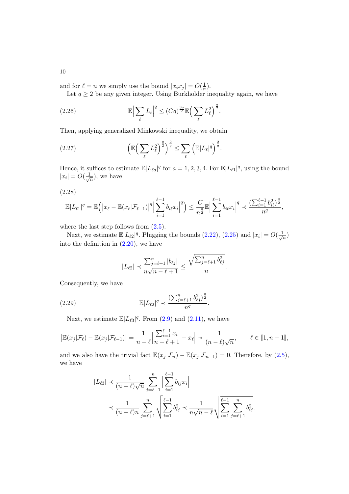and for  $\ell = n$  we simply use the bound  $|x_i x_j| = O(\frac{1}{n})$ 

 $\frac{1}{n}$ ). Let  $q \geq 2$  be any given integer. Using Burkholder inequality again, we have

<span id="page-9-3"></span>(2.26) 
$$
\mathbb{E}\Big|\sum_{\ell}L_{\ell}\Big|^q\leq (Cq)^{\frac{3q}{2}}\mathbb{E}\Big(\sum_{\ell}L_{\ell}^2\Big)^{\frac{q}{2}}.
$$

Then, applying generalized Minkowski inequality, we obtain

<span id="page-9-2"></span>(2.27) 
$$
\left(\mathbb{E}\left(\sum_{\ell} L_{\ell}^{2}\right)^{\frac{q}{2}}\right)^{\frac{2}{q}} \leq \sum_{\ell} \left(\mathbb{E}|L_{\ell}|^{q}\right)^{\frac{2}{q}}.
$$

Hence, it suffices to estimate  $\mathbb{E}|L_{\ell a}|^q$  for  $a = 1, 2, 3, 4$ . For  $\mathbb{E}|L_{\ell 1}|^q$ , using the bound  $|x_i|=O(\frac{1}{\sqrt{n}})$  $(\frac{1}{n})$ , we have

<span id="page-9-0"></span>
$$
(2.28)
$$

$$
\mathbb{E}|L_{\ell 1}|^{q} = \mathbb{E}\Big(\big|x_{\ell}-\mathbb{E}(x_{\ell}|\mathcal{F}_{\ell-1})\big|^{q}\Big|\sum_{i=1}^{\ell-1}b_{i\ell}x_{i}\Big|^{q}\Big) \leq \frac{C}{n^{\frac{q}{2}}}\mathbb{E}\Big|\sum_{i=1}^{\ell-1}b_{i\ell}x_{i}\Big|^{q} \prec \frac{\left(\sum_{i=1}^{\ell-1}b_{i\ell}^{2}\right)^{\frac{q}{2}}}{n^{q}},
$$

where the last step follows from  $(2.5)$ .

Next, we estimate  $\mathbb{E}|L_{\ell2}|^q$ . Plugging the bounds  $(2.22)$ ,  $(2.25)$  and  $|x_i| = O(\frac{1}{\sqrt{\ell}})$  $\frac{1}{n})$ into the definition in  $(2.20)$ , we have

$$
|L_{\ell 2}| \prec \frac{\sum_{j=\ell+1}^{n} |b_{\ell j}|}{n\sqrt{n-\ell+1}} \le \frac{\sqrt{\sum_{j=\ell+1}^{n} b_{\ell j}^2}}{n}
$$

.

Consequently, we have

<span id="page-9-1"></span>(2.29) 
$$
\mathbb{E}|L_{\ell 2}|^q \prec \frac{\left(\sum_{j=\ell+1}^n b_{\ell j}^2\right)^{\frac{q}{2}}}{n^q}.
$$

Next, we estimate  $\mathbb{E}[L_{\ell 3}]^q$ . From [\(2.9\)](#page-6-6) and [\(2.11\)](#page-6-5), we have

$$
\left| \mathbb{E}(x_j|\mathcal{F}_\ell) - \mathbb{E}(x_j|\mathcal{F}_{\ell-1}) \right| = \frac{1}{n-\ell} \left| \frac{\sum_{i=1}^{\ell-1} x_i}{n-\ell+1} + x_\ell \right| \prec \frac{1}{(n-\ell)\sqrt{n}}, \qquad \ell \in [1, n-1],
$$

and we also have the trivial fact  $\mathbb{E}(x_j | \mathcal{F}_n) - \mathbb{E}(x_j | \mathcal{F}_{n-1}) = 0$ . Therefore, by [\(2.5\)](#page-5-2), we have

$$
|L_{\ell 3}| \prec \frac{1}{(n-\ell)\sqrt{n}} \sum_{j=\ell+1}^{n} \left| \sum_{i=1}^{\ell-1} b_{ij} x_i \right|
$$
  

$$
\prec \frac{1}{(n-\ell)n} \sum_{j=\ell+1}^{n} \sqrt{\sum_{i=1}^{\ell-1} b_{ij}^2} \prec \frac{1}{n\sqrt{n-\ell}} \sqrt{\sum_{i=1}^{\ell-1} \sum_{j=\ell+1}^{n} b_{ij}^2}.
$$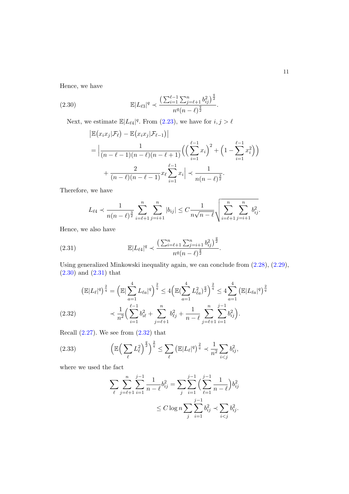Hence, we have

<span id="page-10-0"></span>(2.30) 
$$
\mathbb{E}|L_{\ell 3}|^{q} \prec \frac{\left(\sum_{i=1}^{\ell-1}\sum_{j=\ell+1}^{n}b_{ij}^{2}\right)^{\frac{q}{2}}}{n^{q}(n-\ell)^{\frac{q}{2}}}.
$$

Next, we estimate  $\mathbb{E}|L_{\ell 4}|^q$ . From [\(2.23\)](#page-8-1), we have for  $i, j > \ell$ 

$$
\begin{split} \left| \mathbb{E} (x_i x_j | \mathcal{F}_\ell) - \mathbb{E} (x_i x_j | \mathcal{F}_{\ell-1}) \right| \\ &= \Big| \frac{1}{(n - \ell - 1)(n - \ell)(n - \ell + 1)} \Big( \Big( \sum_{i=1}^{\ell-1} x_i \Big)^2 + \Big( 1 - \sum_{i=1}^{\ell-1} x_i^2 \Big) \Big) \\ &+ \frac{2}{(n - \ell)(n - \ell - 1)} x_\ell \sum_{i=1}^{\ell-1} x_i \Big| \prec \frac{1}{n(n - \ell)^{\frac{3}{2}}} . \end{split}
$$

Therefore, we have

$$
L_{\ell 4} \prec \frac{1}{n(n-\ell)^{\frac{3}{2}}} \sum_{i=\ell+1}^{n} \sum_{j=i+1}^{n} |b_{ij}| \leq C \frac{1}{n\sqrt{n-\ell}} \sqrt{\sum_{i=\ell+1}^{n} \sum_{j=i+1}^{n} b_{ij}^{2}}.
$$

Hence, we also have

<span id="page-10-1"></span>(2.31) 
$$
\mathbb{E}|L_{\ell 4}|^{q} \prec \frac{\left(\sum_{i=\ell+1}^{n}\sum_{j=i+1}^{n}b_{ij}^{2}\right)^{\frac{q}{2}}}{n^{q}(n-\ell)^{\frac{q}{2}}}.
$$

Using generalized Minkowski inequality again, we can conclude from [\(2.28\)](#page-9-0), [\(2.29\)](#page-9-1), [\(2.30\)](#page-10-0) and [\(2.31\)](#page-10-1) that

<span id="page-10-2"></span>
$$
\begin{split} \left(\mathbb{E}|L_{\ell}|^{q}\right)^{\frac{2}{q}} &= \left(\mathbb{E}|\sum_{a=1}^{4}L_{\ell a}|^{q}\right)^{\frac{2}{q}} \le 4\left(\mathbb{E}(\sum_{a=1}^{4}L_{\ell a}^{2})^{\frac{q}{2}}\right)^{\frac{2}{q}} \le 4\sum_{a=1}^{4}\left(\mathbb{E}|L_{\ell a}|^{q}\right)^{\frac{2}{q}}\\ &\quad \times \frac{1}{n^{2}}\left(\sum_{i=1}^{\ell-1}b_{i\ell}^{2}+\sum_{j=\ell+1}^{n}b_{\ell j}^{2}+\frac{1}{n-\ell}\sum_{j=\ell+1}^{n}\sum_{i=1}^{j-1}b_{ij}^{2}\right). \end{split}
$$

Recall  $(2.27)$ . We see from  $(2.32)$  that

<span id="page-10-3"></span>
$$
(2.33) \qquad \left(\mathbb{E}\left(\sum_{\ell} L_{\ell}^2\right)^{\frac{q}{2}}\right)^{\frac{2}{q}} \le \sum_{\ell} \left(\mathbb{E}|L_{\ell}|^{q}\right)^{\frac{2}{q}} \prec \frac{1}{n^2} \sum_{i < j} b_{ij}^2,
$$

where we used the fact

$$
\sum_{\ell} \sum_{j=\ell+1}^{n} \sum_{i=1}^{j-1} \frac{1}{n-\ell} b_{ij}^2 = \sum_{j} \sum_{i=1}^{j-1} \left( \sum_{\ell=1}^{j-1} \frac{1}{n-\ell} \right) b_{ij}^2
$$

$$
\leq C \log n \sum_{j} \sum_{i=1}^{j-1} b_{ij}^2 \prec \sum_{i < j} b_{ij}^2.
$$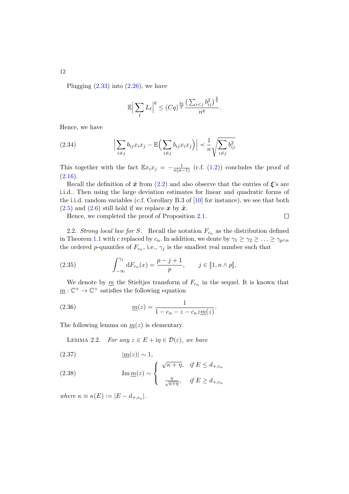Plugging  $(2.33)$  into  $(2.26)$ , we have

$$
\mathbb{E}\Big|\sum_{\ell}L_{\ell}\Big|^q\leq (Cq)^{\frac{3q}{2}}\frac{\left(\sum_{i
$$

Hence, we have

(2.34) 
$$
\left| \sum_{i \neq j} b_{ij} x_i x_j - \mathbb{E} \left( \sum_{i \neq j} b_{ij} x_i x_j \right) \right| \prec \frac{1}{n} \sqrt{\sum_{i \neq j} b_{ij}^2}
$$

This together with the fact  $\mathbb{E} x_i x_j = -\frac{1}{n(n-1)}$  (c.f. [\(1.2\)](#page-1-2)) concludes the proof of  $(2.16).$  $(2.16).$ 

Recall the definition of  $\tilde{x}$  from [\(2.2\)](#page-5-1) and also observe that the entries of  $\xi$ 's are i.i.d.. Then using the large deviation estimates for linear and quadratic forms of the i.i.d. random variables (c.f. Corollary B.3 of [\[10\]](#page-19-14) for instance), we see that both  $(2.5)$  and  $(2.6)$  still hold if we replace x by  $\tilde{x}$ .

Hence, we completed the proof of Proposition [2.1.](#page-5-0)

2.2. Strong local law for S. Recall the notation  $F_{c_n}$  as the distribution defined in Theorem [1.1](#page-2-0) with c replaced by  $c_n$ . In addition, we dente by  $\gamma_1 \geq \gamma_2 \geq \ldots \geq \gamma_{p \wedge n}$ the ordered *p*-quantiles of  $F_{c_n}$ , i.e.,  $\gamma_j$  is the smallest real number such that

(2.35) 
$$
\int_{-\infty}^{\gamma_j} dF_{c_n}(x) = \frac{p-j+1}{p}, \quad j \in [1, n \wedge p],
$$

We denote by  $\underline{m}$  the Stieltjes transform of  $F_{c_n}$  in the sequel. It is known that  $\underline{m}: \mathbb{C}^+ \to \mathbb{C}^+$  satisfies the following equation

(2.36) 
$$
\underline{m}(z) = \frac{1}{1 - c_n - z - c_n z \underline{m}(z)}.
$$

The following lemma on  $m(z)$  is elementary.

<span id="page-11-0"></span>LEMMA 2.2. For any  $z \in E + i\eta \in \mathcal{D}(\varepsilon)$ , we have

$$
(2.37) \t\t |m(z)| \sim 1,
$$

(2.38) 
$$
\operatorname{Im} \underline{m}(z) \sim \begin{cases} \sqrt{\kappa + \eta}, & \text{if } E \leq d_{+,c_n} \\ \frac{\eta}{\sqrt{\kappa + \eta}}, & \text{if } E \geq d_{+,c_n} \end{cases}
$$

where  $\kappa \equiv \kappa(E) := |E - d_{+,c_n}|$ .

12

 $\Box$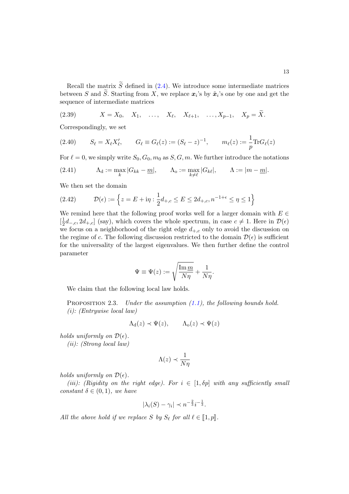Recall the matrix  $\widetilde{S}$  defined in [\(2.4\)](#page-5-5). We introduce some intermediate matrices between S and S. Starting from X, we replace  $x_i$ 's by  $\tilde{x}_i$ 's one by one and get the sequence of intermediate matrices

<span id="page-12-1"></span>(2.39) 
$$
X = X_0, X_1, \dots, X_\ell, X_{\ell+1}, \dots, X_{p-1}, X_p = \tilde{X}.
$$

Correspondingly, we set

<span id="page-12-2"></span>(2.40) 
$$
S_{\ell} = X_{\ell} X'_{\ell},
$$
  $G_{\ell} \equiv G_{\ell}(z) := (S_{\ell} - z)^{-1},$   $m_{\ell}(z) := \frac{1}{p} \text{Tr} G_{\ell}(z)$ 

For  $\ell = 0$ , we simply write  $S_0, G_0, m_0$  as  $S, G, m$ . We further introduce the notations

(2.41) 
$$
\Lambda_{\mathbf{d}} := \max_{k} |G_{kk} - \underline{m}|, \qquad \Lambda_{\mathbf{o}} := \max_{k \neq \ell} |G_{k\ell}|, \qquad \Lambda := |m - \underline{m}|.
$$

We then set the domain

(2.42) 
$$
\mathcal{D}(\epsilon) := \left\{ z = E + i\eta : \frac{1}{2}d_{+,c} \le E \le 2d_{+,c}, n^{-1+\epsilon} \le \eta \le 1 \right\}
$$

We remind here that the following proof works well for a larger domain with  $E \in \mathcal{E}$  $\left[\frac{1}{2}\right]$  $\frac{1}{2}d_{-,c}$ ,  $2d_{+,c}$  (say), which covers the whole spectrum, in case  $c \neq 1$ . Here in  $\mathcal{D}(\epsilon)$ we focus on a neighborhood of the right edge  $d_{+,c}$  only to avoid the discussion on the regime of c. The following discussion restricted to the domain  $\mathcal{D}(\epsilon)$  is sufficient for the universality of the largest eigenvalues. We then further define the control parameter

$$
\Psi \equiv \Psi(z) := \sqrt{\frac{\text{Im} \, \underline{m}}{N\eta}} + \frac{1}{N\eta}.
$$

We claim that the following local law holds.

<span id="page-12-0"></span>PROPOSITION 2.3. Under the assumption  $(1.1)$ , the following bounds hold. (i): (Entrywise local law)

$$
\Lambda_{\mathbf{d}}(z) \prec \Psi(z), \qquad \Lambda_{\mathbf{o}}(z) \prec \Psi(z)
$$

holds uniformly on  $\mathcal{D}(\epsilon)$ . (ii): (Strong local law)

$$
\Lambda(z) \prec \frac{1}{N\eta}
$$

holds uniformly on  $\mathcal{D}(\epsilon)$ .

(iii): (Rigidity on the right edge). For  $i \in [1, \delta p]$  with any sufficiently small constant  $\delta \in (0,1)$ , we have

$$
|\lambda_i(S) - \gamma_i| \prec n^{-\frac{2}{3}} i^{-\frac{1}{3}}.
$$

All the above hold if we replace S by  $S_{\ell}$  for all  $\ell \in [\![1, p]\!]$ .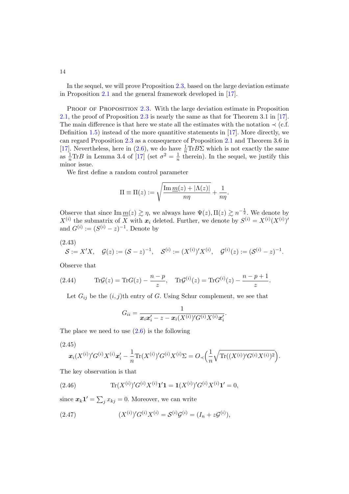In the sequel, we will prove Proposition [2.3,](#page-12-0) based on the large deviation estimate in Proposition [2.1](#page-5-0) and the general framework developed in [\[17\]](#page-20-0).

PROOF OF PROPOSITION [2.3.](#page-12-0) With the large deviation estimate in Proposition [2.1,](#page-5-0) the proof of Proposition [2.3](#page-12-0) is nearly the same as that for Theorem 3.1 in [\[17\]](#page-20-0). The main difference is that here we state all the estimates with the notation  $\prec$  (c.f. Definition [1.5\)](#page-4-1) instead of the more quantitive statements in [\[17\]](#page-20-0). More directly, we can regard Proposition [2.3](#page-12-0) as a consequence of Proposition [2.1](#page-5-0) and Theorem 3.6 in [\[17\]](#page-20-0). Nevertheless, here in [\(2.6\)](#page-5-4), we do have  $\frac{1}{n} \text{Tr} B \Sigma$  which is not exactly the same as  $\frac{1}{n} \text{Tr} B$  in Lemma 3.4 of [\[17\]](#page-20-0) (set  $\sigma^2 = \frac{1}{n}$  $\frac{1}{n}$  therein). In the sequel, we justify this minor issue.

We first define a random control parameter

$$
\Pi \equiv \Pi(z) := \sqrt{\frac{\text{Im } m(z) + |\Lambda(z)|}{n\eta}} + \frac{1}{n\eta}.
$$

Observe that since  $\text{Im } \underline{m}(z) \gtrsim \eta$ , we always have  $\Psi(z)$ ,  $\Pi(z) \gtrsim n^{-\frac{1}{2}}$ . We denote by  $X^{(i)}$  the submatrix of X with  $x_i$  deleted. Further, we denote by  $S^{(i)} = X^{(i)}(X^{(i)})'$ and  $G^{(i)} := (S^{(i)} - z)^{-1}$ . Denote by

<span id="page-13-0"></span>
$$
(2.43)
$$

$$
S := X'X
$$
,  $\mathcal{G}(z) := (S - z)^{-1}$ ,  $\mathcal{S}^{(i)} := (X^{(i)})'X^{(i)}$ ,  $\mathcal{G}^{(i)}(z) := (S^{(i)} - z)^{-1}$ .

Observe that

<span id="page-13-4"></span>(2.44) 
$$
\text{Tr} \mathcal{G}(z) = \text{Tr} G(z) - \frac{n-p}{z}, \quad \text{Tr} \mathcal{G}^{(i)}(z) = \text{Tr} G^{(i)}(z) - \frac{n-p+1}{z}.
$$

Let  $G_{ij}$  be the  $(i, j)$ th entry of G. Using Schur complement, we see that

$$
G_{ii}=\frac{1}{\boldsymbol{x}_i\boldsymbol{x}_i'-z-\boldsymbol{x}_i(X^{(i)})'G^{(i)}X^{(i)}\boldsymbol{x}_i'}.
$$

The place we need to use  $(2.6)$  is the following

<span id="page-13-3"></span>(2.45)

$$
\boldsymbol{x}_i(X^{(i)})'G^{(i)}X^{(i)}\boldsymbol{x}_i' - \frac{1}{n}\text{Tr}(X^{(i)})'G^{(i)}X^{(i)}\Sigma = O_{\prec}\Big(\frac{1}{n}\sqrt{\text{Tr}((X^{(i)})'G^{(i)}X^{(i)})^2}\Big).
$$

The key observation is that

<span id="page-13-1"></span>(2.46) 
$$
\text{Tr}(X^{(i)})'G^{(i)}X^{(i)}\mathbf{1}'\mathbf{1} = \mathbf{1}(X^{(i)})'G^{(i)}X^{(i)}\mathbf{1}' = 0,
$$

since  $\mathbf{x}_k \mathbf{1}' = \sum_j x_{kj} = 0$ . Moreover, we can write

<span id="page-13-2"></span>(2.47) 
$$
(X^{(i)})'G^{(i)}X^{(i)} = S^{(i)}G^{(i)} = (I_n + zG^{(i)}),
$$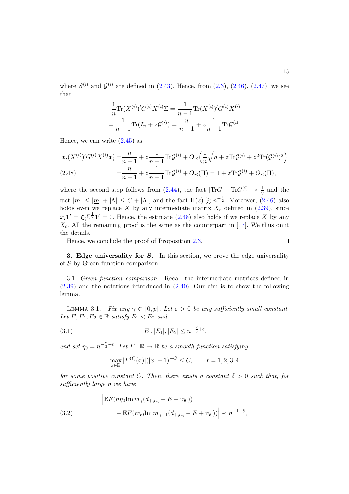where  $\mathcal{S}^{(i)}$  and  $\mathcal{G}^{(i)}$  are defined in [\(2.43\)](#page-13-0). Hence, from [\(2.3\)](#page-5-6), [\(2.46\)](#page-13-1), [\(2.47\)](#page-13-2), we see that

$$
\frac{1}{n}\text{Tr}(X^{(i)})'G^{(i)}X^{(i)}\Sigma = \frac{1}{n-1}\text{Tr}(X^{(i)})'G^{(i)}X^{(i)}
$$

$$
=\frac{1}{n-1}\text{Tr}(I_n+z\mathcal{G}^{(i)}) = \frac{n}{n-1} + z\frac{1}{n-1}\text{Tr}\mathcal{G}^{(i)}.
$$

Hence, we can write  $(2.45)$  as

<span id="page-14-1"></span>
$$
x_i(X^{(i)})'G^{(i)}X^{(i)}x'_i = \frac{n}{n-1} + z\frac{1}{n-1}\text{Tr}\mathcal{G}^{(i)} + O\left(\frac{1}{n}\sqrt{n+z\text{Tr}\mathcal{G}^{(i)}+z^2\text{Tr}(\mathcal{G}^{(i)})^2}\right)
$$
  
(2.48) 
$$
= \frac{n}{n-1} + z\frac{1}{n-1}\text{Tr}\mathcal{G}^{(i)} + O\left(\text{II}\right) = 1 + z\text{Tr}\mathcal{G}^{(i)} + O\left(\text{II}\right),
$$

where the second step follows from  $(2.44)$ , the fact  $|\text{Tr}G - \text{Tr}G^{(i)}| \prec \frac{1}{\eta}$  and the fact  $|m| \le |m| + |\Lambda| \le C + |\Lambda|$ , and the fact  $\Pi(z) \gtrsim n^{-\frac{1}{2}}$ . Moreover, [\(2.46\)](#page-13-1) also holds even we replace X by any intermediate matrix  $X_{\ell}$  defined in [\(2.39\)](#page-12-1), since  $\tilde{\boldsymbol{x}}_i \boldsymbol{1}' = \boldsymbol{\xi}_i \Sigma^{\frac{1}{2}} \boldsymbol{1}' = 0$ . Hence, the estimate  $(2.48)$  also holds if we replace X by any  $X_{\ell}$ . All the remaining proof is the same as the counterpart in [\[17\]](#page-20-0). We thus omit the details.

Hence, we conclude the proof of Proposition [2.3.](#page-12-0)

$$
\qquad \qquad \Box
$$

<span id="page-14-0"></span>3. Edge universality for  $S$ . In this section, we prove the edge universality of S by Green function comparison.

3.1. Green function comparison. Recall the intermediate matrices defined in [\(2.39\)](#page-12-1) and the notations introduced in [\(2.40\)](#page-12-2). Our aim is to show the following lemma.

<span id="page-14-2"></span>LEMMA 3.1. Fix any  $\gamma \in [0, p]$ . Let  $\varepsilon > 0$  be any sufficiently small constant. Let  $E, E_1, E_2 \in \mathbb{R}$  satisfy  $E_1 < E_2$  and

(3.1) 
$$
|E|, |E_1|, |E_2| \le n^{-\frac{2}{3} + \varepsilon},
$$

and set  $\eta_0 = n^{-\frac{2}{3} - \varepsilon}$ . Let  $F : \mathbb{R} \to \mathbb{R}$  be a smooth function satisfying

$$
\max_{x \in \mathbb{R}} |F^{(\ell)}(x)|(|x|+1)^{-C} \le C, \qquad \ell = 1, 2, 3, 4
$$

for some positive constant C. Then, there exists a constant  $\delta > 0$  such that, for sufficiently large n we have

<span id="page-14-3"></span>(3.2) 
$$
\begin{aligned} \left| \mathbb{E} F(n\eta_0 \text{Im } m_{\gamma}(d_{+,c_n} + E + i\eta_0)) - \mathbb{E} F(n\eta_0 \text{Im } m_{\gamma+1}(d_{+,c_n} + E + i\eta_0)) \right| &\prec n^{-1-\delta}, \end{aligned}
$$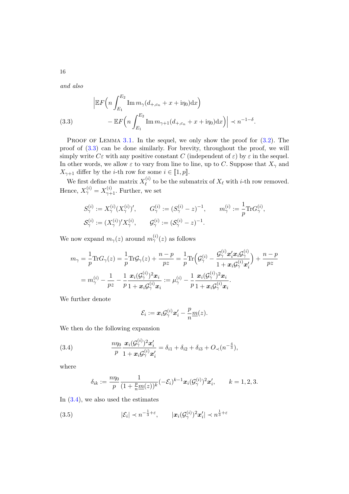and also

<span id="page-15-0"></span>(3.3) 
$$
\left| \mathbb{E} F \left( n \int_{E_1}^{E_2} \text{Im} \, m_{\gamma} (d_{+,c_n} + x + i \eta_0) \, dx \right) - \mathbb{E} F \left( n \int_{E_1}^{E_2} \text{Im} \, m_{\gamma+1} (d_{+,c_n} + x + i \eta_0) \, dx \right) \right| \prec n^{-1-\delta}.
$$

PROOF OF LEMMA  $3.1$ . In the sequel, we only show the proof for  $(3.2)$ . The proof of [\(3.3\)](#page-15-0) can be done similarly. For brevity, throughout the proof, we will simply write  $C\varepsilon$  with any positive constant C (independent of  $\varepsilon$ ) by  $\varepsilon$  in the sequel. In other words, we allow  $\varepsilon$  to vary from line to line, up to C. Suppose that  $X_\gamma$  and  $X_{\gamma+1}$  differ by the *i*-th row for some  $i \in [\![1,p]\!]$ .

We first define the matrix  $X_{\ell}^{(i)}$  $\ell^{(i)}$  to be the submatrix of  $X_{\ell}$  with *i*-th row removed. Hence,  $X_{\gamma}^{(i)} = X_{\gamma+1}^{(i)}$ . Further, we set

$$
S^{(i)}_{\gamma} := X^{(i)}_{\gamma}(X^{(i)}_{\gamma})', \qquad G^{(i)}_{\gamma} := (S^{(i)}_{\gamma} - z)^{-1}, \qquad m^{(i)}_{\gamma} := \frac{1}{p} \text{Tr} G^{(i)}_{\gamma}, \mathcal{S}^{(i)}_{\gamma} := (X^{(i)}_{\gamma})' X^{(i)}_{\gamma}, \qquad \mathcal{G}^{(i)}_{\gamma} := (\mathcal{S}^{(i)}_{\gamma} - z)^{-1}.
$$

We now expand  $m_{\gamma}(z)$  around  $m_{\gamma}'(z)$  as follows

$$
\begin{aligned} m_{\gamma} &= \frac{1}{p} \text{Tr} G_{\gamma}(z) = \frac{1}{p} \text{Tr} \mathcal{G}_{\gamma}(z) + \frac{n-p}{pz} = \frac{1}{p} \text{Tr} \Big( \mathcal{G}^{(i)}_{\gamma} - \frac{\mathcal{G}^{(i)}_{\gamma} \boldsymbol{x}_i^{\prime} \boldsymbol{x}_i \mathcal{G}^{(i)}_{\gamma}}{1 + \boldsymbol{x}_i \mathcal{G}^{(i)}_{\gamma} \boldsymbol{x}_i^{\prime}} \Big) + \frac{n-p}{pz} \\ &= m_{\gamma}^{(i)} - \frac{1}{pz} - \frac{1}{p} \frac{\boldsymbol{x}_i (\mathcal{G}^{(i)}_{\gamma})^2 \boldsymbol{x}_i}{1 + \boldsymbol{x}_i \mathcal{G}^{(i)}_{\gamma} \boldsymbol{x}_i} := \mu_{\gamma}^{(i)} - \frac{1}{p} \frac{\boldsymbol{x}_i (\mathcal{G}^{(i)}_{\gamma})^2 \boldsymbol{x}_i}{1 + \boldsymbol{x}_i \mathcal{G}^{(i)}_{\gamma} \boldsymbol{x}_i}. \end{aligned}
$$

We further denote

$$
\mathcal{E}_i := \boldsymbol{x}_i \mathcal{G}_{\gamma}^{(i)} \boldsymbol{x}_i' - \frac{p}{n} \underline{m}(z).
$$

We then do the following expansion

<span id="page-15-1"></span>(3.4) 
$$
\frac{n\eta_0}{p}\frac{\boldsymbol{x}_i(\mathcal{G}_{\gamma}^{(i)})^2\boldsymbol{x}'_i}{1+\boldsymbol{x}_i\mathcal{G}_{\gamma}^{(i)}\boldsymbol{x}'_i}=\delta_{i1}+\delta_{i2}+\delta_{i3}+O_{\prec}(n^{-\frac{4}{3}}),
$$

where

$$
\delta_{ik}:=\frac{n\eta_0}{p}\frac{1}{(1+\frac{p}{n}\underline{m}(z))^k}(-\mathcal{E}_i)^{k-1}x_i(\mathcal{G}_{\gamma}^{(i)})^2x_i',\qquad k=1,2,3.
$$

In  $(3.4)$ , we also used the estimates

<span id="page-15-2"></span>(3.5) 
$$
|\mathcal{E}_i| \prec n^{-\frac{1}{3}+\varepsilon}, \qquad |\boldsymbol{x}_i(\mathcal{G}_{\gamma}^{(i)})^2 \boldsymbol{x}_i'| \prec n^{\frac{1}{3}+\varepsilon}
$$

16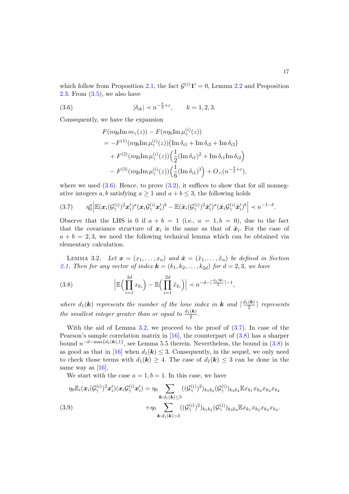which follow from Proposition [2.1,](#page-5-0) the fact  $\mathcal{G}^{(i)}\mathbf{1}'=0$ , Lemma [2.2](#page-11-0) and Proposition [2.3.](#page-12-0) From [\(3.5\)](#page-15-2), we also have

<span id="page-16-0"></span>(3.6) 
$$
|\delta_{ik}| \prec n^{-\frac{k}{3}+\varepsilon}, \qquad k=1,2,3.
$$

Consequently, we have the expansion

$$
F(n\eta_0 \text{Im } m_{\gamma}(z)) - F(n\eta_0 \text{Im } \mu_{\gamma}^{(i)}(z))
$$
  
=  $-F^{(1)}(n\eta_0 \text{Im } \mu_{\gamma}^{(i)}(z)) (\text{Im } \delta_{i1} + \text{Im } \delta_{i2} + \text{Im } \delta_{i3})$   
+  $F^{(2)}(n\eta_0 \text{Im } \mu_{\gamma}^{(i)}(z)) (\frac{1}{2} (\text{Im } \delta_{i1})^2 + \text{Im } \delta_{i1} \text{Im } \delta_{i2})$   
-  $F^{(3)}(n\eta_0 \text{Im } \mu_{\gamma}^{(i)}(z)) (\frac{1}{6} (\text{Im } \delta_{i1})^3) + O_{\prec}(n^{-\frac{4}{3} + \varepsilon}),$ 

where we used  $(3.6)$ . Hence, to prove  $(3.2)$ , it suffices to show that for all nonnegative integers a, b satisfying  $a \ge 1$  and  $a + b \le 3$ , the following holds

<span id="page-16-2"></span>
$$
(3.7) \qquad \eta_0^a \Big| \mathbb{E}(\boldsymbol{x}_i(\mathcal{G}_{\gamma}^{(i)})^2\boldsymbol{x}_i')^a (\boldsymbol{x}_i\mathcal{G}_{\gamma}^{(i)}\boldsymbol{x}_i')^b - \mathbb{E}(\tilde{\boldsymbol{x}}_i(\mathcal{G}_{\gamma}^{(i)})^2\tilde{\boldsymbol{x}}_i')^a (\tilde{\boldsymbol{x}}_i\mathcal{G}_{\gamma}^{(i)}\tilde{\boldsymbol{x}}_i')^b \Big| \prec n^{-1-\delta}.
$$

Observe that the LHS is 0 if  $a + b = 1$  (i.e.,  $a = 1, b = 0$ ), due to the fact that the covariance structure of  $x_i$  is the same as that of  $\tilde{x}_i$ . For the case of  $a + b = 2, 3$ , we need the following technical lemma which can be obtained via elementary calculation.

<span id="page-16-1"></span>LEMMA 3.2. Let  $\mathbf{x} = (x_1, \ldots, x_n)$  and  $\tilde{\mathbf{x}} = (\tilde{x}_1, \ldots, \tilde{x}_n)$  be defined in Section [2.1.](#page-5-7) Then for any vector of index  $\mathbf{k} = (k_1, k_2, \ldots, k_{2d})$  for  $d = 2, 3$ , we have

<span id="page-16-3"></span>(3.8) 
$$
\left|\mathbb{E}\Big(\prod_{i=1}^{2d}x_{k_i}\Big)-\mathbb{E}\Big(\prod_{i=1}^{2d}\tilde{x}_{k_i}\Big)\right|\prec n^{-d-\lceil\frac{d_1(\mathbf{k})}{2}\rceil-1},
$$

where  $d_1(\mathbf{k})$  represents the number of the lone index in  $\mathbf{k}$  and  $\lceil \frac{d_1(\mathbf{k})}{2} \rceil$  $\frac{1}{2}$  represents the smallest integer greater than or equal to  $\frac{d_1(\mathbf{k})}{2}$ .

With the aid of Lemma [3.2,](#page-16-1) we proceed to the proof of  $(3.7)$ . In case of the Pearson's sample correlation matrix in [\[16\]](#page-19-6), the counterpart of [\(3.8\)](#page-16-3) has a sharper bound  $n^{-d-\max\{d_1(k),1\}}$ , see Lemma 5.5 therein. Nevertheless, the bound in [\(3.8\)](#page-16-3) is as good as that in [\[16\]](#page-19-6) when  $d_1(\mathbf{k}) \leq 3$ . Consequently, in the sequel, we only need to check those terms with  $d_1(\mathbf{k}) \geq 4$ . The case of  $d_1(\mathbf{k}) \leq 3$  can be done in the same way as  $[16]$ .

We start with the case  $a = 1, b = 1$ . In this case, we have

<span id="page-16-4"></span>
$$
\eta_0 \mathbb{E}_i(\boldsymbol{x}_i(\mathcal{G}_{\gamma}^{(i)})^2 \boldsymbol{x}'_i)(\boldsymbol{x}_i \mathcal{G}_{\gamma}^{(i)} \boldsymbol{x}'_i) = \eta_0 \sum_{\boldsymbol{k}: d_1(\boldsymbol{k}) \leq 3} ((\mathcal{G}_{\gamma}^{(i)})^2)_{k_1 k_2} (\mathcal{G}_{\gamma}^{(i)})_{k_3 k_4} \mathbb{E} x_{k_1} x_{k_2} x_{k_3} x_{k_4}
$$
\n
$$
(3.9) \qquad \qquad + \eta_0 \sum_{\boldsymbol{k}: d_1(\boldsymbol{k}) > 3} ((\mathcal{G}_{\gamma}^{(i)})^2)_{k_1 k_2} (\mathcal{G}_{\gamma}^{(i)})_{k_3 k_4} \mathbb{E} x_{k_1} x_{k_2} x_{k_3} x_{k_4}.
$$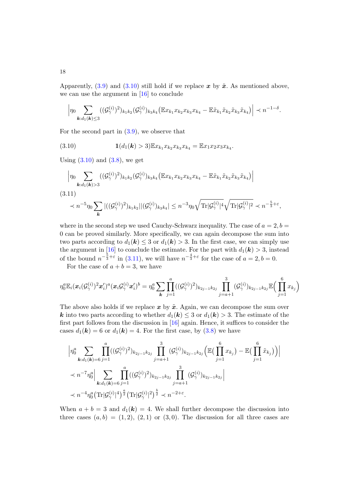Apparently,  $(3.9)$  and  $(3.10)$  still hold if we replace x by  $\tilde{x}$ . As mentioned above, we can use the argument in [\[16\]](#page-19-6) to conclude

$$
\left|\eta_0 \sum_{\mathbf{k}:d_1(\mathbf{k})\leq 3} ((\mathcal{G}_{\gamma}^{(i)})^2)_{k_1k_2} (\mathcal{G}_{\gamma}^{(i)})_{k_3k_4} (\mathbb{E} x_{k_1} x_{k_2} x_{k_3} x_{k_4} - \mathbb{E} \tilde{x}_{k_1} \tilde{x}_{k_2} \tilde{x}_{k_3} \tilde{x}_{k_4})\right| \prec n^{-1-\delta}.
$$

For the second part in  $(3.9)$ , we observe that

<span id="page-17-0"></span>(3.10) 
$$
\mathbf{1}(d_1(\mathbf{k}) > 3) \mathbb{E} x_{k_1} x_{k_2} x_{k_3} x_{k_4} = \mathbb{E} x_1 x_2 x_3 x_{k_4}.
$$

Using  $(3.10)$  and  $(3.8)$ , we get

<span id="page-17-1"></span>
$$
\left| \eta_0 \sum_{\mathbf{k}:d_1(\mathbf{k})>3} ((\mathcal{G}_{\gamma}^{(i)})^2)_{k_1k_2} (\mathcal{G}_{\gamma}^{(i)})_{k_3k_4} (\mathbb{E} x_{k_1} x_{k_2} x_{k_3} x_{k_4} - \mathbb{E} \tilde{x}_{k_1} \tilde{x}_{k_2} \tilde{x}_{k_3} \tilde{x}_{k_4}) \right|
$$
  
(3.11)  

$$
\prec n^{-5} \eta_0 \sum_{\mathbf{k}} |((\mathcal{G}_{\gamma}^{(i)})^2)_{k_1k_2}||(\mathcal{G}_{\gamma}^{(i)})_{k_3k_4}| \leq n^{-3} \eta_0 \sqrt{\text{Tr}|\mathcal{G}_{\gamma}^{(i)}|^4} \sqrt{\text{Tr}|\mathcal{G}_{\gamma}^{(i)}|^2} \prec n^{-\frac{5}{3}+\varepsilon},
$$

where in the second step we used Cauchy-Schwarz inequality. The case of  $a = 2, b =$ 0 can be proved similarly. More specifically, we can again decompose the sum into two parts according to  $d_1(\mathbf{k}) \leq 3$  or  $d_1(\mathbf{k}) > 3$ . In the first case, we can simply use the argument in [\[16\]](#page-19-6) to conclude the estimate. For the part with  $d_1(\mathbf{k}) > 3$ , instead of the bound  $n^{-\frac{5}{3}+\varepsilon}$  in [\(3.11\)](#page-17-1), we will have  $n^{-\frac{4}{3}+\varepsilon}$  for the case of  $a=2, b=0$ .

For the case of  $a + b = 3$ , we have

$$
\eta_0^a {\mathbb{E}}_i(\bm{x}_i(\mathcal{G}_{\gamma}^{(i)})^2 \bm{x}_i')^a(\bm{x}_i \mathcal{G}_{\gamma}^{(i)} \bm{x}_i')^b = \eta_0^a \sum_{\bm{k}} \prod_{j=1}^a ((\mathcal{G}_{\gamma}^{(i)})^2)_{k_{2j-1}k_{2j}} \prod_{j=a+1}^3 (\mathcal{G}_{\gamma}^{(i)})_{k_{2j-1}k_{2j}} {\mathbb{E}}\Big(\prod_{j=1}^6 x_{k_j}\Big)
$$

The above also holds if we replace  $x$  by  $\tilde{x}$ . Again, we can decompose the sum over k into two parts according to whether  $d_1(k) \leq 3$  or  $d_1(k) > 3$ . The estimate of the first part follows from the discussion in [\[16\]](#page-19-6) again. Hence, it suffices to consider the cases  $d_1(\mathbf{k}) = 6$  or  $d_1(\mathbf{k}) = 4$ . For the first case, by  $(3.8)$  we have

$$
\left| \eta_0^a \sum_{\mathbf{k}:d_1(\mathbf{k})=6} \prod_{j=1}^a ((\mathcal{G}_{\gamma}^{(i)})^2)_{k_{2j-1}k_{2j}} \prod_{j=a+1}^3 (\mathcal{G}_{\gamma}^{(i)})_{k_{2j-1}k_{2j}} \left( \mathbb{E} \left( \prod_{j=1}^6 x_{k_j} \right) - \mathbb{E} \left( \prod_{j=1}^6 \tilde{x}_{k_j} \right) \right) \right|
$$
  

$$
\prec n^{-7} \eta_0^a \left| \sum_{\mathbf{k}:d_1(\mathbf{k})=6} \prod_{j=1}^a ((\mathcal{G}_{\gamma}^{(i)})^2)_{k_{2j-1}k_{2j}} \prod_{j=a+1}^3 (\mathcal{G}_{\gamma}^{(i)})_{k_{2j-1}k_{2j}} \right|
$$
  

$$
\prec n^{-4} \eta_0^a (\text{Tr} |\mathcal{G}_{\gamma}^{(i)}|^4)^{\frac{a}{2}} (\text{Tr} |\mathcal{G}_{\gamma}^{(i)}|^2)^{\frac{b}{2}} \prec n^{-2+\epsilon}.
$$

When  $a + b = 3$  and  $d_1(\mathbf{k}) = 4$ . We shall further decompose the discussion into three cases  $(a, b) = (1, 2), (2, 1)$  or  $(3, 0)$ . The discussion for all three cases are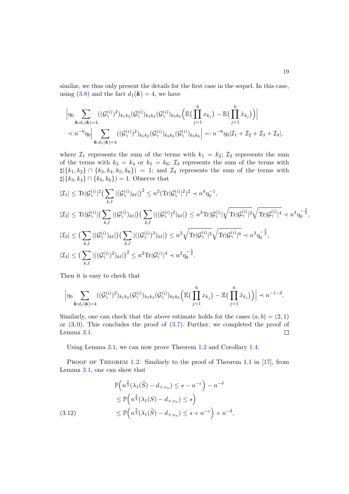similar, we thus only present the details for the first case in the sequel. In this case, using [\(3.8\)](#page-16-3) and the fact  $d_1(\mathbf{k}) = 4$ , we have

$$
\left|\eta_{0}\sum_{\mathbf{k}:d_{1}(\mathbf{k})=4}((\mathcal{G}_{\gamma}^{(i)})^{2})_{k_{1}k_{2}}(\mathcal{G}_{\gamma}^{(i)})_{k_{3}k_{4}}(\mathcal{G}_{\gamma}^{(i)})_{k_{5}k_{6}}\left(\mathbb{E}\left(\prod_{j=1}^{6}x_{k_{j}}\right)-\mathbb{E}\left(\prod_{j=1}^{6}\tilde{x}_{k_{j}}\right)\right)\right|
$$
  

$$
\prec n^{-6}\eta_{0}\left|\sum_{\mathbf{k}:d_{1}(\mathbf{k})=4}((\mathcal{G}_{\gamma}^{(i)})^{2})_{k_{1}k_{2}}(\mathcal{G}_{\gamma}^{(i)})_{k_{3}k_{4}}(\mathcal{G}_{\gamma}^{(i)})_{k_{5}k_{6}}\right|=:n^{-6}\eta_{0}|\mathcal{I}_{1}+\mathcal{I}_{2}+\mathcal{I}_{3}+\mathcal{I}_{4}|,
$$

where  $\mathcal{I}_1$  represents the sum of the terms with  $k_1 = k_2$ ;  $\mathcal{I}_2$  represents the sum of the terms with  $k_3 = k_4$  or  $k_5 = k_6$ ;  $\mathcal{I}_3$  represents the sum of the terms with  $\sharp({k_1, k_2} \cap {k_3, k_4, k_5, k_6}) = 1$ ; and  $\mathcal{I}_4$  represents the sum of the terms with  $\sharp({k_3, k_4} \cap {k_5, k_6}) = 1$ . Observe that

$$
|\mathcal{I}_{1}| \leq \text{Tr}|\mathcal{G}_{\gamma}^{(i)}|^{2} \left(\sum_{k,\ell} |(\mathcal{G}_{\gamma}^{(i)})_{k\ell}| \right)^{2} \leq n^{2} (\text{Tr}|\mathcal{G}_{\gamma}^{(i)}|^{2})^{2} \prec n^{4} \eta_{0}^{-1},
$$
  
\n
$$
|\mathcal{I}_{2}| \leq \text{Tr}|\mathcal{G}_{\gamma}^{(i)}| \left(\sum_{k,\ell} |(\mathcal{G}_{\gamma}^{(i)})_{k\ell}| \right) \left(\sum_{k,\ell} |((\mathcal{G}_{\gamma}^{(i)})^{2})_{k\ell}| \right) \leq n^{2} \text{Tr}|\mathcal{G}_{\gamma}^{(i)}| \sqrt{\text{Tr}|\mathcal{G}_{\gamma}^{(i)}|^{2}} \sqrt{\text{Tr}|\mathcal{G}_{\gamma}^{(i)}|^{4}} \prec n^{4} \eta_{0}^{-\frac{3}{2}},
$$
  
\n
$$
|\mathcal{I}_{3}| \leq \left(\sum_{k,\ell} |(\mathcal{G}_{\gamma}^{(i)})_{k\ell}| \right) \left(\sum_{k,\ell} |((\mathcal{G}_{\gamma}^{(i)})^{3})_{k\ell}| \right) \leq n^{2} \sqrt{\text{Tr}|\mathcal{G}_{\gamma}^{(i)}|^{2}} \sqrt{\text{Tr}|\mathcal{G}_{\gamma}^{(i)}|^{6}} \prec n^{3} \eta_{0}^{-\frac{5}{2}},
$$
  
\n
$$
|\mathcal{I}_{4}| \leq \left(\sum_{k,\ell} |((\mathcal{G}_{\gamma}^{(i)})^{2})_{k\ell}| \right)^{2} \leq n^{2} \text{Tr}|\mathcal{G}_{\gamma}^{(i)}|^{4} \prec n^{2} \eta_{0}^{-\frac{5}{2}}.
$$

Then it is easy to check that

$$
\Big|\eta_0 \sum_{\bm{k}:d_1(\bm{k})=4} ((\mathcal{G}_{\gamma}^{(i)})^2)_{k_1k_2} (\mathcal{G}_{\gamma}^{(i)})_{k_3k_4} (\mathcal{G}_{\gamma}^{(i)})_{k_5k_6} \Big(\mathbb{E}\big(\prod_{j=1}^6 x_{k_j}\big) - \mathbb{E}\big(\prod_{j=1}^6 \tilde{x}_{k_j}\big)\Big)\Big| \prec n^{-1-\delta}.
$$

Similarly, one can check that the above estimate holds for the cases  $(a, b) = (2, 1)$ or  $(3,0)$ . This concludes the proof of  $(3.7)$ . Further, we completed the proof of Lemma [3.1.](#page-14-2)  $\Box$ 

Using Lemma [3.1,](#page-14-2) we can now prove Theorem [1.2](#page-3-0) and Corollary [1.4.](#page-3-1)

PROOF OF THEOREM [1.2.](#page-3-0) Similarly to the proof of Theorem 1.1 in [\[17\]](#page-20-0), from Lemma [3.1,](#page-14-2) one can show that

<span id="page-18-0"></span>
$$
\mathbb{P}\left(n^{\frac{2}{3}}(\lambda_1(\widetilde{S}) - d_{+,c_n}) \leq s - n^{-\varepsilon}\right) - n^{-\delta}
$$
  
\n
$$
\leq \mathbb{P}\left(n^{\frac{2}{3}}(\lambda_1(S) - d_{+,c_n}) \leq s\right)
$$
  
\n
$$
\leq \mathbb{P}\left(n^{\frac{2}{3}}(\lambda_1(\widetilde{S}) - d_{+,c_n}) \leq s + n^{-\varepsilon}\right) + n^{-\delta},
$$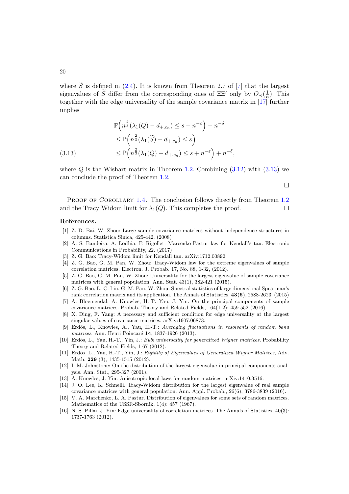where  $\widetilde{S}$  is defined in [\(2.4\)](#page-5-5). It is known from Theorem 2.7 of [\[7\]](#page-19-15) that the largest eigenvalues of  $\widetilde{S}$  differ from the corresponding ones of  $\Xi \Xi'$  only by  $O_{\prec}(\frac{1}{n})$  $\frac{1}{n}$ ). This together with the edge universality of the sample covariance matrix in [\[17\]](#page-20-0) further implies

$$
\mathbb{P}\left(n^{\frac{2}{3}}(\lambda_1(Q) - d_{+,c_n}) \leq s - n^{-\varepsilon}\right) - n^{-\delta}
$$
  
\n
$$
\leq \mathbb{P}\left(n^{\frac{2}{3}}(\lambda_1(\widetilde{S}) - d_{+,c_n}) \leq s\right)
$$
  
\n(3.13) 
$$
\leq \mathbb{P}\left(n^{\frac{2}{3}}(\lambda_1(Q) - d_{+,c_n}) \leq s + n^{-\varepsilon}\right) + n^{-\delta},
$$

<span id="page-19-16"></span>where  $Q$  is the Wishart matrix in Theorem [1.2.](#page-3-0) Combining  $(3.12)$  with  $(3.13)$  we can conclude the proof of Theorem [1.2.](#page-3-0)

 $\Box$ 

PROOF OF COROLLARY [1.4.](#page-3-1) The conclusion follows directly from Theorem [1.2](#page-3-0) and the Tracy Widom limit for  $\lambda_1(Q)$ . This completes the proof.  $\Box$ 

## References.

- <span id="page-19-8"></span>[1] Z. D. Bai, W. Zhou: Large sample covariance matrices without independence structures in columns. Statistica Sinica, 425-442. (2008)
- <span id="page-19-9"></span>[2] A. S. Bandeira, A. Lodhia, P. Rigollet. Marčenko-Pastur law for Kendall's tau. Electronic Communications in Probability, 22. (2017)
- <span id="page-19-11"></span>[3] Z. G. Bao: Tracy-Widom limit for Kendall tau. arXiv:1712.00892
- <span id="page-19-5"></span>[4] Z. G. Bao, G. M. Pan, W. Zhou: Tracy-Widom law for the extreme eigenvalues of sample correlation matrices, Electron. J. Probab. 17, No. 88, 1-32, (2012).
- <span id="page-19-2"></span>[5] Z. G. Bao, G. M. Pan, W. Zhou: Universality for the largest eigenvalue of sample covariance matrices with general population, Ann. Stat. 43(1), 382-421 (2015).
- <span id="page-19-10"></span>[6] Z. G. Bao, L.-C. Lin, G. M. Pan, W. Zhou. Spectral statistics of large dimensional Spearman's rank correlation matrix and its application. The Annals of Statistics, 43(6), 2588-2623. (2015)
- <span id="page-19-15"></span>[7] A. Bloemendal, A. Knowles, H.-T. Yau, J. Yin: On the principal components of sample covariance matrices. Probab. Theory and Related Fields, 164(1-2): 459-552 (2016).
- <span id="page-19-7"></span>[8] X. Ding, F. Yang: A necessary and sufficient condition for edge universality at the largest singular values of covariance matrices. arXiv:1607.06873.
- <span id="page-19-13"></span>[9] Erdős, L., Knowles, A., Yau, H.-T.: Averaging fluctuations in resolvents of random band matrices, Ann. Henri Poincaré 14, 1837-1926 (2013).
- <span id="page-19-14"></span>[10] Erdős, L., Yau, H.-T., Yin, J.: Bulk universality for generalized Wigner matrices, Probability Theory and Related Fields, 1-67 (2012).
- <span id="page-19-12"></span>[11] Erdős, L., Yau, H.-T., Yin, J.: Rigidity of Eigenvalues of Generalized Wigner Matrices, Adv. Math. 229 (3), 1435-1515 (2012).
- <span id="page-19-1"></span>[12] I. M. Johnstone: On the distribution of the largest eigenvalue in principal components analysis. Ann. Stat., 295-327 (2001).
- <span id="page-19-4"></span>[13] A. Knowles, J. Yin. Anisotropic local laws for random matrices. arXiv:1410.3516.
- <span id="page-19-3"></span>[14] J. O. Lee, K. Schnelli. Tracy-Widom distribution for the largest eigenvalue of real sample covariance matrices with general population. Ann. Appl. Probab., 26(6), 3786-3839 (2016).
- <span id="page-19-0"></span>[15] V. A. Marchenko, L. A. Pastur. Distribution of eigenvalues for some sets of random matrices. Mathematics of the USSR-Sbornik, 1(4): 457 (1967).
- <span id="page-19-6"></span>[16] N. S. Pillai, J. Yin: Edge universality of correlation matrices. The Annals of Statistics, 40(3): 1737-1763 (2012).